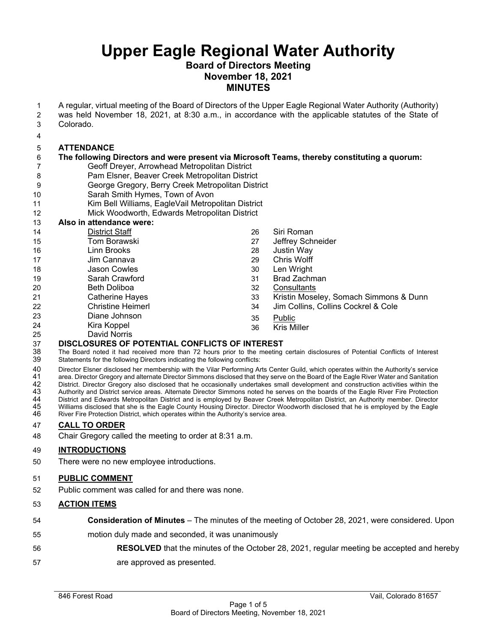#### **Board of Directors Meeting November 18, 2021 MINUTES**

1 A regular, virtual meeting of the Board of Directors of the Upper Eagle Regional Water Authority (Authority)

- 2 was held November 18, 2021, at 8:30 a.m., in accordance with the applicable statutes of the State of 3 Colorado.
- 4

#### 5 **ATTENDANCE**

#### 6 **The following Directors and were present via Microsoft Teams, thereby constituting a quorum:**

- 7 Geoff Dreyer, Arrowhead Metropolitan District
- 8 Pam Elsner, Beaver Creek Metropolitan District
- 9 George Gregory, Berry Creek Metropolitan District
- 10 Sarah Smith Hymes, Town of Avon
- 11 Kim Bell Williams, EagleVail Metropolitan District

#### 12 Mick Woodworth, Edwards Metropolitan District

13 **Also in attendance were:**  14 District Staff 15 Tom Borawski 16 Linn Brooks 17 Jim Cannava 18 Jason Cowles 19 Sarah Crawford 20 Beth Doliboa 21 Catherine Hayes 22 Christine Heimerl 23 Diane Johnson 24 Kira Koppel 25 David Norris 26 Siri Roman 27 Jeffrey Schneider 28 Justin Way 29 Chris Wolff 30 Len Wright 31 Brad Zachman 32 Consultants 33 Kristin Moseley, Somach Simmons & Dunn 34 Jim Collins, Collins Cockrel & Cole 35 Public 36 Kris Miller

## 37 **DISCLOSURES OF POTENTIAL CONFLICTS OF INTEREST**

38 The Board noted it had received more than 72 hours prior to the meeting certain disclosures of Potential Conflicts of Interest Statements for the following Directors indicating the following conflicts:

40 Director Elsner disclosed her membership with the Vilar Performing Arts Center Guild, which operates within the Authority's service 41 area. Director Gregory and alternate Director Simmons disclosed that they serve on the Board of the Eagle River Water and Sanitation<br>42 District. Director Gregory also disclosed that he occasionally undertakes s 42 District. Director Gregory also disclosed that he occasionally undertakes small development and construction activities within the<br>43 Authority and District service areas. Alternate Director Simmons noted he serves on t 43 Authority and District service areas. Alternate Director Simmons noted he serves on the boards of the Eagle River Fire Protection<br>44 District and Edwards Metropolitan District and is employed by Beaver Creek Metropolita 44 District and Edwards Metropolitan District and is employed by Beaver Creek Metropolitan District, an Authority member. Director 45 Williams disclosed that she is the Eagle County Housing Director. Director Woodworth disclosed that he is employed by the Eagle River Fire Protection District, which operates within the Authority's service area.

#### 47 **CALL TO ORDER**

48 Chair Gregory called the meeting to order at 8:31 a.m.

#### 49 **INTRODUCTIONS**

50 There were no new employee introductions.

#### 51 **PUBLIC COMMENT**

52 Public comment was called for and there was none.

#### 53 **ACTION ITEMS**

- 54 **Consideration of Minutes**  The minutes of the meeting of October 28, 2021, were considered. Upon
- 55 motion duly made and seconded, it was unanimously
- 56 **RESOLVED** that the minutes of the October 28, 2021, regular meeting be accepted and hereby
- 57 are approved as presented.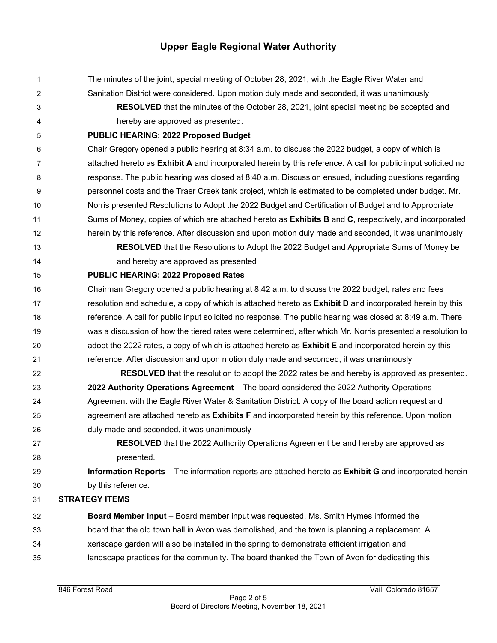- 1 The minutes of the joint, special meeting of October 28, 2021, with the Eagle River Water and
- 2 Sanitation District were considered. Upon motion duly made and seconded, it was unanimously
- 

3 **RESOLVED** that the minutes of the October 28, 2021, joint special meeting be accepted and 4 hereby are approved as presented.

5 **PUBLIC HEARING: 2022 Proposed Budget** 

6 Chair Gregory opened a public hearing at 8:34 a.m. to discuss the 2022 budget, a copy of which is 7 attached hereto as **Exhibit A** and incorporated herein by this reference. A call for public input solicited no 8 response. The public hearing was closed at 8:40 a.m. Discussion ensued, including questions regarding 9 personnel costs and the Traer Creek tank project, which is estimated to be completed under budget. Mr. 10 Norris presented Resolutions to Adopt the 2022 Budget and Certification of Budget and to Appropriate 11 Sums of Money, copies of which are attached hereto as **Exhibits B** and **C**, respectively, and incorporated 12 herein by this reference. After discussion and upon motion duly made and seconded, it was unanimously

13 **RESOLVED** that the Resolutions to Adopt the 2022 Budget and Appropriate Sums of Money be 14 and hereby are approved as presented

15 **PUBLIC HEARING: 2022 Proposed Rates** 

16 Chairman Gregory opened a public hearing at 8:42 a.m. to discuss the 2022 budget, rates and fees 17 resolution and schedule, a copy of which is attached hereto as **Exhibit D** and incorporated herein by this 18 reference. A call for public input solicited no response. The public hearing was closed at 8:49 a.m. There 19 was a discussion of how the tiered rates were determined, after which Mr. Norris presented a resolution to 20 adopt the 2022 rates, a copy of which is attached hereto as **Exhibit E** and incorporated herein by this 21 reference. After discussion and upon motion duly made and seconded, it was unanimously

- 22 **RESOLVED** that the resolution to adopt the 2022 rates be and hereby is approved as presented. 23 **2022 Authority Operations Agreement** – The board considered the 2022 Authority Operations 24 Agreement with the Eagle River Water & Sanitation District. A copy of the board action request and 25 agreement are attached hereto as **Exhibits F** and incorporated herein by this reference. Upon motion 26 duly made and seconded, it was unanimously
- 

27 **RESOLVED** that the 2022 Authority Operations Agreement be and hereby are approved as 28 presented.

29 **Information Reports** – The information reports are attached hereto as **Exhibit G** and incorporated herein 30 by this reference.

31 **STRATEGY ITEMS** 

32 **Board Member Input** – Board member input was requested. Ms. Smith Hymes informed the 33 board that the old town hall in Avon was demolished, and the town is planning a replacement. A 34 xeriscape garden will also be installed in the spring to demonstrate efficient irrigation and 35 landscape practices for the community. The board thanked the Town of Avon for dedicating this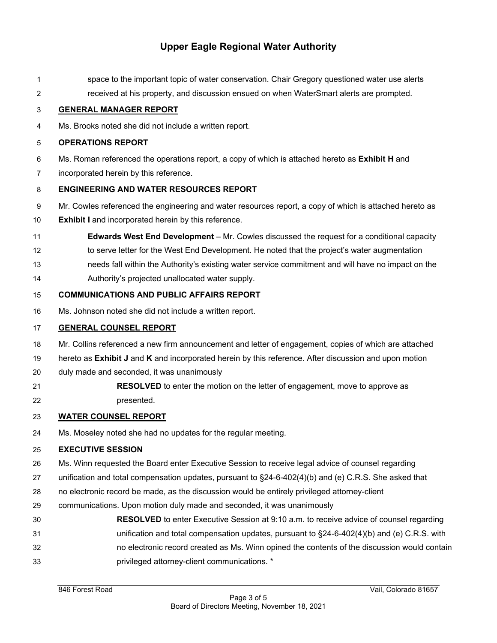- 1 space to the important topic of water conservation. Chair Gregory questioned water use alerts
- 2 received at his property, and discussion ensued on when WaterSmart alerts are prompted.

#### 3 **GENERAL MANAGER REPORT**

4 Ms. Brooks noted she did not include a written report.

#### 5 **OPERATIONS REPORT**

- 6 Ms. Roman referenced the operations report, a copy of which is attached hereto as **Exhibit H** and
- 7 incorporated herein by this reference.

#### 8 **ENGINEERING AND WATER RESOURCES REPORT**

- 9 Mr. Cowles referenced the engineering and water resources report, a copy of which is attached hereto as
- 10 **Exhibit I** and incorporated herein by this reference.
- 11 **Edwards West End Development** Mr. Cowles discussed the request for a conditional capacity
- 12 to serve letter for the West End Development. He noted that the project's water augmentation
- 13 needs fall within the Authority's existing water service commitment and will have no impact on the
- 14 Authority's projected unallocated water supply.

#### 15 **COMMUNICATIONS AND PUBLIC AFFAIRS REPORT**

16 Ms. Johnson noted she did not include a written report.

#### 17 **GENERAL COUNSEL REPORT**

- 18 Mr. Collins referenced a new firm announcement and letter of engagement, copies of which are attached
- 19 hereto as **Exhibit J** and **K** and incorporated herein by this reference. After discussion and upon motion
- 20 duly made and seconded, it was unanimously
- 21 **RESOLVED** to enter the motion on the letter of engagement, move to approve as
- 22 presented.

#### 23 **WATER COUNSEL REPORT**

24 Ms. Moseley noted she had no updates for the regular meeting.

#### 25 **EXECUTIVE SESSION**

- 26 Ms. Winn requested the Board enter Executive Session to receive legal advice of counsel regarding
- 27 unification and total compensation updates, pursuant to §24-6-402(4)(b) and (e) C.R.S. She asked that
- 28 no electronic record be made, as the discussion would be entirely privileged attorney-client
- 29 communications. Upon motion duly made and seconded, it was unanimously
- 30 **RESOLVED** to enter Executive Session at 9:10 a.m. to receive advice of counsel regarding
- 31 unification and total compensation updates, pursuant to §24-6-402(4)(b) and (e) C.R.S. with
- 32 no electronic record created as Ms. Winn opined the contents of the discussion would contain
- 33 privileged attorney-client communications. \*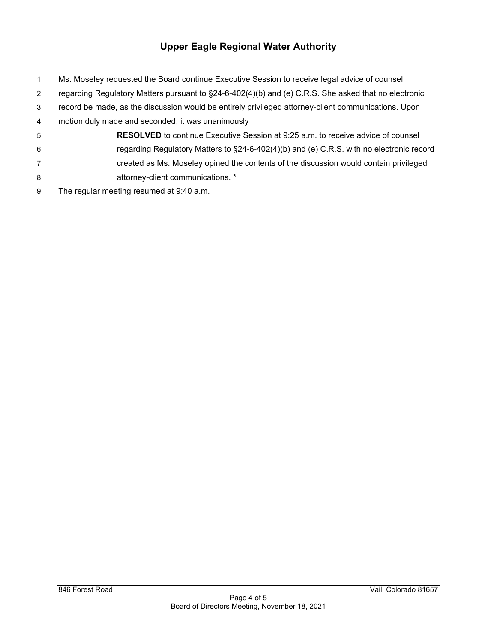- 1 Ms. Moseley requested the Board continue Executive Session to receive legal advice of counsel
- 2 regarding Regulatory Matters pursuant to §24-6-402(4)(b) and (e) C.R.S. She asked that no electronic
- 3 record be made, as the discussion would be entirely privileged attorney-client communications. Upon
- 4 motion duly made and seconded, it was unanimously
- 5 **RESOLVED** to continue Executive Session at 9:25 a.m. to receive advice of counsel 6 regarding Regulatory Matters to §24-6-402(4)(b) and (e) C.R.S. with no electronic record
- 7 created as Ms. Moseley opined the contents of the discussion would contain privileged 8 attorney-client communications. \*
- 9 The regular meeting resumed at 9:40 a.m.